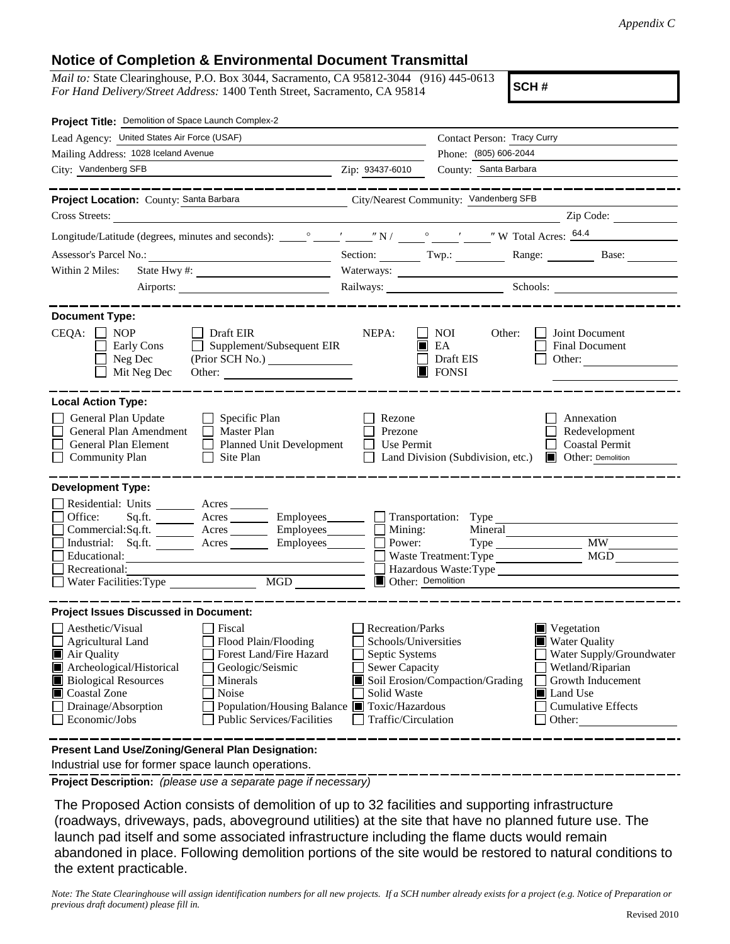## **Notice of Completion & Environmental Document Transmittal**

*Mail to:* State Clearinghouse, P.O. Box 3044, Sacramento, CA 95812-3044 (916) 445-0613 *For Hand Delivery/Street Address:* 1400 Tenth Street, Sacramento, CA 95814

**SCH #**

| Project Title: Demolition of Space Launch Complex-2                                                                                                                                                                                                                                                                                                                       |                                                                                                                                                                                                                                                                                                                                             |                                                                         |                                                                                 |  |  |  |
|---------------------------------------------------------------------------------------------------------------------------------------------------------------------------------------------------------------------------------------------------------------------------------------------------------------------------------------------------------------------------|---------------------------------------------------------------------------------------------------------------------------------------------------------------------------------------------------------------------------------------------------------------------------------------------------------------------------------------------|-------------------------------------------------------------------------|---------------------------------------------------------------------------------|--|--|--|
| Lead Agency: United States Air Force (USAF)                                                                                                                                                                                                                                                                                                                               |                                                                                                                                                                                                                                                                                                                                             | Contact Person: Tracy Curry                                             |                                                                                 |  |  |  |
| Mailing Address: 1028 Iceland Avenue                                                                                                                                                                                                                                                                                                                                      | Phone: (805) 606-2044                                                                                                                                                                                                                                                                                                                       |                                                                         |                                                                                 |  |  |  |
| City: Vandenberg SFB<br><u> 1980 - Johann John Stein, markin santa shekara 1980 - An an tsara</u>                                                                                                                                                                                                                                                                         | Zip: 93437-6010                                                                                                                                                                                                                                                                                                                             | County: Santa Barbara                                                   |                                                                                 |  |  |  |
|                                                                                                                                                                                                                                                                                                                                                                           |                                                                                                                                                                                                                                                                                                                                             |                                                                         |                                                                                 |  |  |  |
| Project Location: County: Santa Barbara                                                                                                                                                                                                                                                                                                                                   |                                                                                                                                                                                                                                                                                                                                             | City/Nearest Community: Vandenberg SFB                                  |                                                                                 |  |  |  |
| Cross Streets:<br><u> 1980 - Jan Samuel Barbara, martin d</u>                                                                                                                                                                                                                                                                                                             |                                                                                                                                                                                                                                                                                                                                             |                                                                         | Zip Code:                                                                       |  |  |  |
|                                                                                                                                                                                                                                                                                                                                                                           |                                                                                                                                                                                                                                                                                                                                             |                                                                         |                                                                                 |  |  |  |
| Assessor's Parcel No.:<br><u> 1989 - Johann Barbara, martxa alemaniar a</u>                                                                                                                                                                                                                                                                                               |                                                                                                                                                                                                                                                                                                                                             |                                                                         | Section: Twp.: Twp.: Range: Base:                                               |  |  |  |
| Within 2 Miles:                                                                                                                                                                                                                                                                                                                                                           |                                                                                                                                                                                                                                                                                                                                             |                                                                         |                                                                                 |  |  |  |
|                                                                                                                                                                                                                                                                                                                                                                           |                                                                                                                                                                                                                                                                                                                                             | Railways: Schools: Schools:                                             |                                                                                 |  |  |  |
| <b>Document Type:</b><br>CEQA:<br><b>NOP</b><br>Draft EIR<br>Supplement/Subsequent EIR<br>Early Cons<br>Neg Dec<br>Mit Neg Dec<br>Other:                                                                                                                                                                                                                                  | NEPA:                                                                                                                                                                                                                                                                                                                                       | NOI<br>Other:<br>EA<br>Draft EIS<br>$\Box$ FONSI                        | Joint Document<br><b>Final Document</b><br>Other:                               |  |  |  |
| <b>Local Action Type:</b><br>General Plan Update<br>Specific Plan<br>General Plan Amendment<br>Master Plan<br>General Plan Element<br><b>Planned Unit Development</b><br>Site Plan<br><b>Community Plan</b>                                                                                                                                                               | Rezone<br>Prezone<br>Use Permit                                                                                                                                                                                                                                                                                                             | Land Division (Subdivision, etc.)                                       | Annexation<br>Redevelopment<br><b>Coastal Permit</b><br>Other: Demolition<br>ШL |  |  |  |
| <b>Development Type:</b>                                                                                                                                                                                                                                                                                                                                                  |                                                                                                                                                                                                                                                                                                                                             |                                                                         |                                                                                 |  |  |  |
| Residential: Units ______<br>Acres<br>Office:<br>Sq.fit.<br>Employees_______<br>Commercial:Sq.ft. ________ Acres _______<br>Employees________<br>Industrial: Sq.ft. _______ Acres ______<br>Employees_______<br>Educational:<br>Recreational:<br>MGD<br>Water Facilities: Type                                                                                            | Mining:<br>Power:<br>Other: Demolition                                                                                                                                                                                                                                                                                                      | Transportation: Type<br>Mineral<br>$Type \_\_$<br>Waste Treatment: Type | <b>MW</b><br><b>MGD</b><br>Hazardous Waste:Type                                 |  |  |  |
| <b>Project Issues Discussed in Document:</b>                                                                                                                                                                                                                                                                                                                              |                                                                                                                                                                                                                                                                                                                                             |                                                                         |                                                                                 |  |  |  |
| $\Box$ Aesthetic/Visual<br>Fiscal<br>Agricultural Land<br>Flood Plain/Flooding<br>Forest Land/Fire Hazard<br>Air Quality<br>Archeological/Historical<br>Geologic/Seismic<br><b>Biological Resources</b><br>Minerals<br>Coastal Zone<br>Noise<br>Drainage/Absorption<br>Population/Housing Balance ■ Toxic/Hazardous<br>Economic/Jobs<br><b>Public Services/Facilities</b> | Recreation/Parks<br>$\blacksquare$ Vegetation<br>Schools/Universities<br><b>Water Quality</b><br>Septic Systems<br>Water Supply/Groundwater<br>Sewer Capacity<br>Wetland/Riparian<br>Soil Erosion/Compaction/Grading<br>Growth Inducement<br>Solid Waste<br><b>■</b> Land Use<br><b>Cumulative Effects</b><br>Traffic/Circulation<br>Other: |                                                                         |                                                                                 |  |  |  |
| Present Land Use/Zoning/General Plan Designation:                                                                                                                                                                                                                                                                                                                         |                                                                                                                                                                                                                                                                                                                                             |                                                                         |                                                                                 |  |  |  |

Industrial use for former space launch operations.

**Project Description:** *(please use a separate page if necessary)*

 The Proposed Action consists of demolition of up to 32 facilities and supporting infrastructure (roadways, driveways, pads, aboveground utilities) at the site that have no planned future use. The launch pad itself and some associated infrastructure including the flame ducts would remain abandoned in place. Following demolition portions of the site would be restored to natural conditions to the extent practicable.

*Note: The State Clearinghouse will assign identification numbers for all new projects. If a SCH number already exists for a project (e.g. Notice of Preparation or previous draft document) please fill in.*